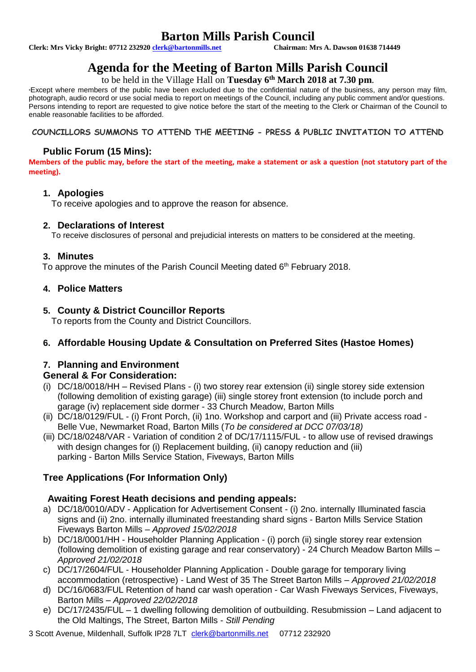## **Barton Mills Parish Council**<br>Chairman: Mrs A. Dawson 01638 714449

**Clerk: Mrs Vicky Bright: 07712 232920 clerk@bartonmills.net** 

## **Agenda for the Meeting of Barton Mills Parish Council**

to be held in the Village Hall on **Tuesday 6 th March 2018 at 7.30 pm**.

\*Except where members of the public have been excluded due to the confidential nature of the business, any person may film, photograph, audio record or use social media to report on meetings of the Council, including any public comment and/or questions. Persons intending to report are requested to give notice before the start of the meeting to the Clerk or Chairman of the Council to enable reasonable facilities to be afforded.

## **COUNCILLORS SUMMONS TO ATTEND THE MEETING - PRESS & PUBLIC INVITATION TO ATTEND**

## **Public Forum (15 Mins):**

**Members of the public may, before the start of the meeting, make a statement or ask a question (not statutory part of the meeting).**

### **1. Apologies**

To receive apologies and to approve the reason for absence.

## **2. Declarations of Interest**

To receive disclosures of personal and prejudicial interests on matters to be considered at the meeting.

## **3. Minutes**

To approve the minutes of the Parish Council Meeting dated 6<sup>th</sup> February 2018.

## **4. Police Matters**

## **5. County & District Councillor Reports**

To reports from the County and District Councillors.

## **6. Affordable Housing Update & Consultation on Preferred Sites (Hastoe Homes)**

## **7. Planning and Environment**

## **General & For Consideration:**

- (i) DC/18/0018/HH Revised Plans (i) two storey rear extension (ii) single storey side extension (following demolition of existing garage) (iii) single storey front extension (to include porch and garage (iv) replacement side dormer - 33 Church Meadow, Barton Mills
- (ii) DC/18/0129/FUL (i) Front Porch, (ii) 1no. Workshop and carport and (iii) Private access road Belle Vue, Newmarket Road, Barton Mills (*To be considered at DCC 07/03/18)*
- (iii) DC/18/0248/VAR Variation of condition 2 of DC/17/1115/FUL to allow use of revised drawings with design changes for (i) Replacement building, (ii) canopy reduction and (iii) parking - Barton Mills Service Station, Fiveways, Barton Mills

## **Tree Applications (For Information Only)**

## **Awaiting Forest Heath decisions and pending appeals:**

- a) DC/18/0010/ADV Application for Advertisement Consent (i) 2no. internally Illuminated fascia signs and (ii) 2no. internally illuminated freestanding shard signs - Barton Mills Service Station Fiveways Barton Mills – *Approved 15/02/2018*
- b) DC/18/0001/HH Householder Planning Application (i) porch (ii) single storey rear extension (following demolition of existing garage and rear conservatory) - 24 Church Meadow Barton Mills – *Approved 21/02/2018*
- c) DC/17/2604/FUL Householder Planning Application Double garage for temporary living accommodation (retrospective) - Land West of 35 The Street Barton Mills – *Approved 21/02/2018*
- d) DC/16/0683/FUL Retention of hand car wash operation Car Wash Fiveways Services, Fiveways, Barton Mills – *Approved 22/02/2018*
- e) DC/17/2435/FUL 1 dwelling following demolition of outbuilding. Resubmission Land adjacent to the Old Maltings, The Street, Barton Mills - *Still Pending*